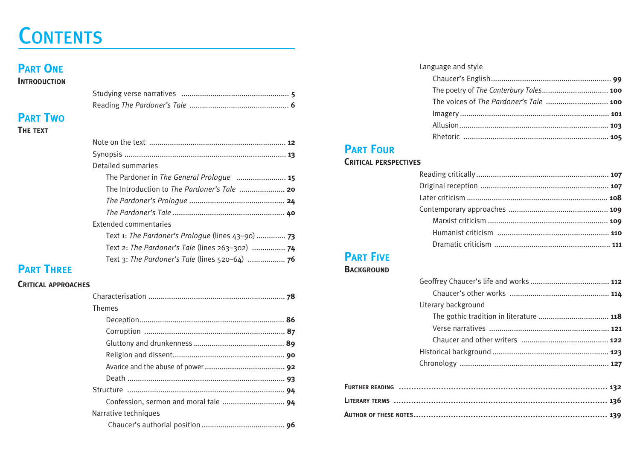# **CONTENTS**

## **PART ONE**

**INTRODUCTION**

## **PART TWO THE TEXT**

| Detailed summaries                                |
|---------------------------------------------------|
| The Pardoner in The General Prologue  15          |
| The Introduction to The Pardoner's Tale  20       |
|                                                   |
|                                                   |
| Extended commentaries                             |
| Text 1: The Pardoner's Prologue (lines 43-90)  73 |
| Text 2: The Pardoner's Tale (lines 263-302)  74   |
| Text 3: The Pardoner's Tale (lines 520-64)  76    |
|                                                   |

## **PART THREE**

## **CRITICAL APPROACHES**

| Themes               |  |
|----------------------|--|
|                      |  |
|                      |  |
|                      |  |
|                      |  |
|                      |  |
|                      |  |
|                      |  |
|                      |  |
| Narrative techniques |  |
|                      |  |

## Language and style

| The poetry of The Canterbury Tales 100 |  |
|----------------------------------------|--|
| The voices of The Pardoner's Tale  100 |  |
|                                        |  |
|                                        |  |
|                                        |  |

## **PART FOUR**

## **CRITICAL PERSPECTIVES**

## **PART FIVE**

#### **BACKGROUND**

| Literary background |  |
|---------------------|--|
|                     |  |
|                     |  |
|                     |  |
|                     |  |
|                     |  |
|                     |  |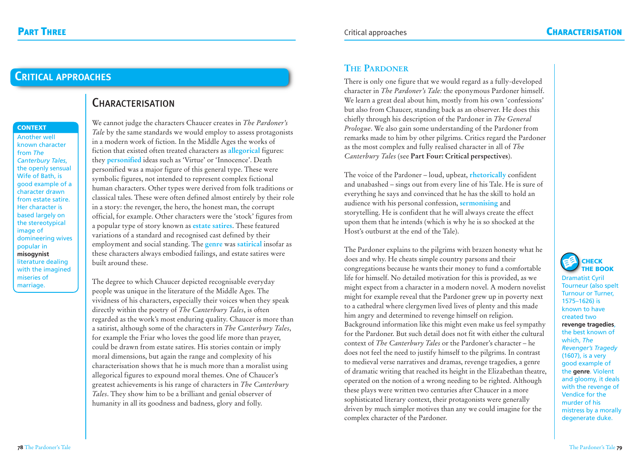## **CRITICAL APPROACHES**

**CONTEXT** Another well known character from *The Canterbury Tales*, the openly sensual Wife of Bath, is good example of a character drawn from estate satire. Her character is based largely on the stereotypical image of domineering wives popular in **misogynist** literature dealing with the imagined miseries of marriage.

## **CHARACTERISATION**

We cannot judge the characters Chaucer creates in *The Pardoner's Tale* by the same standards we would employ to assess protagonists in a modern work of fiction. In the Middle Ages the works of fiction that existed often treated characters as **allegorical** figures: they **personified** ideas such as 'Virtue' or 'Innocence'. Death personified was a major figure of this general type. These were symbolic figures, not intended to represent complex fictional human characters. Other types were derived from folk traditions or classical tales. These were often defined almost entirely by their role in a story: the revenger, the hero, the honest man, the corrupt official, for example. Other characters were the 'stock' figures from a popular type of story known as **estate satires**. These featured variations of a standard and recognised cast defined by their employment and social standing. The **genre** was **satirical** insofar as these characters always embodied failings, and estate satires were built around these.

The degree to which Chaucer depicted recognisable everyday people was unique in the literature of the Middle Ages. The vividness of his characters, especially their voices when they speak directly within the poetry of *The Canterbury Tales*, is often regarded as the work's most enduring quality. Chaucer is more than a satirist, although some of the characters in *The Canterbury Tales*, for example the Friar who loves the good life more than prayer, could be drawn from estate satires. His stories contain or imply moral dimensions, but again the range and complexity of his characterisation shows that he is much more than a moralist using allegorical figures to expound moral themes. One of Chaucer's greatest achievements is his range of characters in *The Canterbury Tales*. They show him to be a brilliant and genial observer of humanity in all its goodness and badness, glory and folly.

#### **THE PARDONER**

There is only one figure that we would regard as a fully-developed character in *The Pardoner's Tale:* the eponymous Pardoner himself. We learn a great deal about him, mostly from his own 'confessions' but also from Chaucer, standing back as an observer. He does this chiefly through his description of the Pardoner in *The General Prologue*. We also gain some understanding of the Pardoner from remarks made to him by other pilgrims. Critics regard the Pardoner as the most complex and fully realised character in all of *The Canterbury Tales* (see **Part Four: Critical perspectives**).

The voice of the Pardoner – loud, upbeat, **rhetorically** confident and unabashed – sings out from every line of his Tale. He is sure of everything he says and convinced that he has the skill to hold an audience with his personal confession, **sermonising** and storytelling. He is confident that he will always create the effect upon them that he intends (which is why he is so shocked at the Host's outburst at the end of the Tale).

The Pardoner explains to the pilgrims with brazen honesty what he does and why. He cheats simple country parsons and their congregations because he wants their money to fund a comfortable life for himself. No detailed motivation for this is provided, as we might expect from a character in a modern novel. A modern novelist might for example reveal that the Pardoner grew up in poverty next to a cathedral where clergymen lived lives of plenty and this made him angry and determined to revenge himself on religion. Background information like this might even make us feel sympathy for the Pardoner. But such detail does not fit with either the cultural context of *The Canterbury Tales* or the Pardoner's character – he does not feel the need to justify himself to the pilgrims. In contrast to medieval verse narratives and dramas, revenge tragedies, a genre of dramatic writing that reached its height in the Elizabethan theatre, operated on the notion of a wrong needing to be righted. Although these plays were written two centuries after Chaucer in a more sophisticated literary context, their protagonists were generally driven by much simpler motives than any we could imagine for the complex character of the Pardoner.

**CHECK** THE BOOK Dramatist Cyril Tourneur (also spelt Turnour or Turner, 1575–1626) is known to have created two **revenge tragedies**, the best known of which, *The Revenger's Tragedy* (1607), is a very good example of the **genre**. Violent and gloomy, it deals with the revenge of Vendice for the murder of his mistress by a morally degenerate duke.